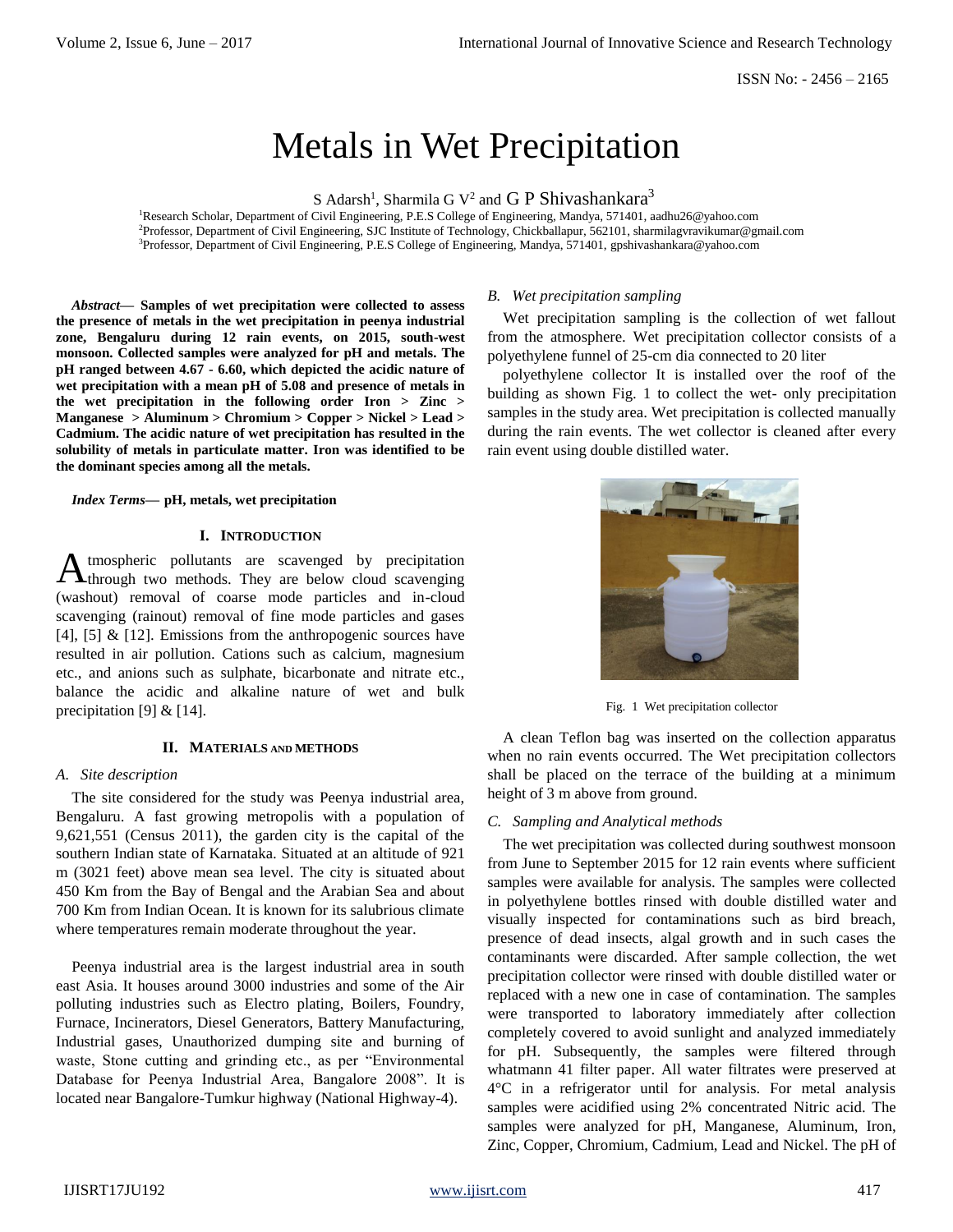# Metals in Wet Precipitation

S Adarsh<sup>1</sup>, Sharmila G V<sup>2</sup> and G P Shivashankara<sup>3</sup>

<sup>1</sup>Research Scholar, Department of Civil Engineering, P.E.S College of Engineering, Mandya, 571401[, aadhu26@yahoo.com](mailto:aadhu26@yahoo.com) <sup>2</sup>Professor, Department of Civil Engineering, SJC Institute of Technology, Chickballapur, 562101, sharmilagvravikumar@gmail.com <sup>3</sup>Professor, Department of Civil Engineering, P.E.S College of Engineering, Mandya, 571401[, gpshivashankara@yahoo.com](mailto:gpshivashankara@yahoo.com)

*Abstract***— Samples of wet precipitation were collected to assess the presence of metals in the wet precipitation in peenya industrial zone, Bengaluru during 12 rain events, on 2015, south-west monsoon. Collected samples were analyzed for pH and metals. The pH ranged between 4.67 - 6.60, which depicted the acidic nature of wet precipitation with a mean pH of 5.08 and presence of metals in the wet precipitation in the following order Iron > Zinc > Manganese > Aluminum > Chromium > Copper > Nickel > Lead > Cadmium. The acidic nature of wet precipitation has resulted in the solubility of metals in particulate matter. Iron was identified to be the dominant species among all the metals.**

*Index Terms***— pH, metals, wet precipitation**

### **I. INTRODUCTION**

tmospheric pollutants are scavenged by precipitation Atmospheric pollutants are scavenged by precipitation<br>Athrough two methods. They are below cloud scavenging (washout) removal of coarse mode particles and in-cloud scavenging (rainout) removal of fine mode particles and gases [4], [5]  $\&$  [12]. Emissions from the anthropogenic sources have resulted in air pollution. Cations such as calcium, magnesium etc., and anions such as sulphate, bicarbonate and nitrate etc., balance the acidic and alkaline nature of wet and bulk precipitation [9] & [14].

# **II. MATERIALS AND METHODS**

# *A. Site description*

The site considered for the study was Peenya industrial area, Bengaluru. A fast growing metropolis with a population of 9,621,551 (Census 2011), the garden city is the capital of the southern Indian state of Karnataka. Situated at an altitude of 921 m (3021 feet) above mean sea level. The city is situated about 450 Km from the Bay of Bengal and the Arabian Sea and about 700 Km from Indian Ocean. It is known for its salubrious climate where temperatures remain moderate throughout the year.

Peenya industrial area is the largest industrial area in south east Asia. It houses around 3000 industries and some of the Air polluting industries such as Electro plating, Boilers, Foundry, Furnace, Incinerators, Diesel Generators, Battery Manufacturing, Industrial gases, Unauthorized dumping site and burning of waste, Stone cutting and grinding etc., as per "Environmental Database for Peenya Industrial Area, Bangalore 2008". It is located near Bangalore-Tumkur highway (National Highway-4).

# *B. Wet precipitation sampling*

Wet precipitation sampling is the collection of wet fallout from the atmosphere. Wet precipitation collector consists of a polyethylene funnel of 25-cm dia connected to 20 liter

polyethylene collector It is installed over the roof of the building as shown Fig. 1 to collect the wet- only precipitation samples in the study area. Wet precipitation is collected manually during the rain events. The wet collector is cleaned after every rain event using double distilled water.



Fig. 1 Wet precipitation collector

A clean Teflon bag was inserted on the collection apparatus when no rain events occurred. The Wet precipitation collectors shall be placed on the terrace of the building at a minimum height of 3 m above from ground.

# *C. Sampling and Analytical methods*

The wet precipitation was collected during southwest monsoon from June to September 2015 for 12 rain events where sufficient samples were available for analysis. The samples were collected in polyethylene bottles rinsed with double distilled water and visually inspected for contaminations such as bird breach, presence of dead insects, algal growth and in such cases the contaminants were discarded. After sample collection, the wet precipitation collector were rinsed with double distilled water or replaced with a new one in case of contamination. The samples were transported to laboratory immediately after collection completely covered to avoid sunlight and analyzed immediately for pH. Subsequently, the samples were filtered through whatmann 41 filter paper. All water filtrates were preserved at 4°C in a refrigerator until for analysis. For metal analysis samples were acidified using 2% concentrated Nitric acid. The samples were analyzed for pH, Manganese, Aluminum, Iron, Zinc, Copper, Chromium, Cadmium, Lead and Nickel. The pH of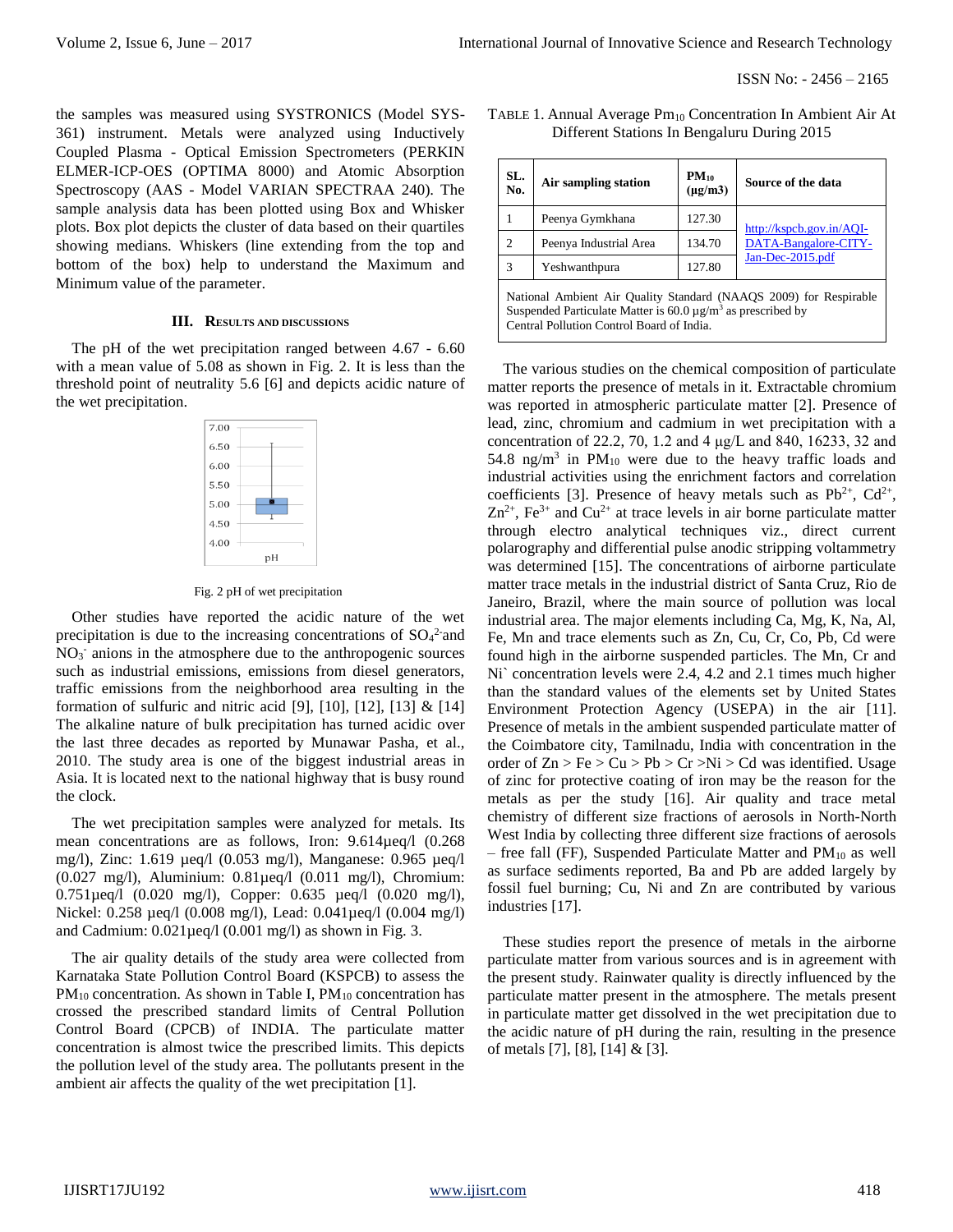the samples was measured using SYSTRONICS (Model SYS-361) instrument. Metals were analyzed using Inductively Coupled Plasma - Optical Emission Spectrometers (PERKIN ELMER-ICP-OES (OPTIMA 8000) and Atomic Absorption Spectroscopy (AAS - Model VARIAN SPECTRAA 240). The sample analysis data has been plotted using Box and Whisker plots. Box plot depicts the cluster of data based on their quartiles showing medians. Whiskers (line extending from the top and bottom of the box) help to understand the Maximum and Minimum value of the parameter.

#### **III. RESULTS AND DISCUSSIONS**

The pH of the wet precipitation ranged between 4.67 - 6.60 with a mean value of 5.08 as shown in Fig. 2. It is less than the threshold point of neutrality 5.6 [6] and depicts acidic nature of the wet precipitation.

| 7.00 |    |
|------|----|
| 6.50 |    |
| 6.00 |    |
| 5.50 |    |
| 5.00 |    |
| 4.50 | Ì  |
| 4.00 |    |
|      | pН |

Fig. 2 pH of wet precipitation

Other studies have reported the acidic nature of the wet precipitation is due to the increasing concentrations of  $SO<sub>4</sub><sup>2</sup>$  and NO<sub>3</sub> anions in the atmosphere due to the anthropogenic sources such as industrial emissions, emissions from diesel generators, traffic emissions from the neighborhood area resulting in the formation of sulfuric and nitric acid [9], [10], [12], [13]  $\&$  [14] The alkaline nature of bulk precipitation has turned acidic over the last three decades as reported by Munawar Pasha, et al., 2010. The study area is one of the biggest industrial areas in Asia. It is located next to the national highway that is busy round the clock.

The wet precipitation samples were analyzed for metals. Its mean concentrations are as follows, Iron: 9.614µeq/l (0.268) mg/l), Zinc: 1.619 µeq/l (0.053 mg/l), Manganese: 0.965 µeq/l (0.027 mg/l), Aluminium: 0.81µeq/l (0.011 mg/l), Chromium: 0.751µeq/l (0.020 mg/l), Copper: 0.635 µeq/l (0.020 mg/l), Nickel: 0.258 µeq/l (0.008 mg/l), Lead: 0.041µeq/l (0.004 mg/l) and Cadmium:  $0.021 \mu$ eq/l  $(0.001 \text{ mg/l})$  as shown in Fig. 3.

The air quality details of the study area were collected from Karnataka State Pollution Control Board (KSPCB) to assess the  $PM_{10}$  concentration. As shown in Table I,  $PM_{10}$  concentration has crossed the prescribed standard limits of Central Pollution Control Board (CPCB) of INDIA. The particulate matter concentration is almost twice the prescribed limits. This depicts the pollution level of the study area. The pollutants present in the ambient air affects the quality of the wet precipitation [1].

| TABLE 1. Annual Average $Pm_{10}$ Concentration In Ambient Air At |
|-------------------------------------------------------------------|
| Different Stations In Bengaluru During 2015                       |

| SL.<br>No.                                                                                                                                                                                     | Air sampling station   | $PM_{10}$<br>$(\mu$ g/m $3)$ | Source of the data                                                   |  |  |
|------------------------------------------------------------------------------------------------------------------------------------------------------------------------------------------------|------------------------|------------------------------|----------------------------------------------------------------------|--|--|
| 1                                                                                                                                                                                              | Peenya Gymkhana        | 127.30                       | http://kspcb.gov.in/AQI-<br>DATA-Bangalore-CITY-<br>Jan-Dec-2015.pdf |  |  |
| $\overline{c}$                                                                                                                                                                                 | Peenya Industrial Area | 134.70                       |                                                                      |  |  |
| 3                                                                                                                                                                                              | Yeshwanthpura          | 127.80                       |                                                                      |  |  |
| National Ambient Air Quality Standard (NAAQS 2009) for Respirable<br>Suspended Particulate Matter is 60.0 $\mu$ g/m <sup>3</sup> as prescribed by<br>Central Pollution Control Board of India. |                        |                              |                                                                      |  |  |

The various studies on the chemical composition of particulate matter reports the presence of metals in it. Extractable chromium was reported in atmospheric particulate matter [2]. Presence of lead, zinc, chromium and cadmium in wet precipitation with a concentration of 22.2, 70, 1.2 and 4 μg/L and 840, 16233, 32 and 54.8 ng/m<sup>3</sup> in PM<sub>10</sub> were due to the heavy traffic loads and industrial activities using the enrichment factors and correlation coefficients [3]. Presence of heavy metals such as  $Pb^{2+}$ ,  $Cd^{2+}$ ,  $Zn^{2+}$ , Fe<sup>3+</sup> and Cu<sup>2+</sup> at trace levels in air borne particulate matter through electro analytical techniques viz., direct current polarography and differential pulse anodic stripping voltammetry was determined [15]. The concentrations of airborne particulate matter trace metals in the industrial district of Santa Cruz, Rio de Janeiro, Brazil, where the main source of pollution was local industrial area. The major elements including Ca, Mg, K, Na, Al, Fe, Mn and trace elements such as Zn, Cu, Cr, Co, Pb, Cd were found high in the airborne suspended particles. The Mn, Cr and Ni` concentration levels were 2.4, 4.2 and 2.1 times much higher than the standard values of the elements set by United States Environment Protection Agency (USEPA) in the air [11]. Presence of metals in the ambient suspended particulate matter of the Coimbatore city, Tamilnadu, India with concentration in the order of  $Zn > Fe > Cu > Pb > Cr > Ni > Cd$  was identified. Usage of zinc for protective coating of iron may be the reason for the metals as per the study [16]. Air quality and trace metal chemistry of different size fractions of aerosols in North-North West India by collecting three different size fractions of aerosols – free fall (FF), Suspended Particulate Matter and  $PM_{10}$  as well as surface sediments reported, Ba and Pb are added largely by fossil fuel burning; Cu, Ni and Zn are contributed by various industries [17].

These studies report the presence of metals in the airborne particulate matter from various sources and is in agreement with the present study. Rainwater quality is directly influenced by the particulate matter present in the atmosphere. The metals present in particulate matter get dissolved in the wet precipitation due to the acidic nature of pH during the rain, resulting in the presence of metals [7], [8], [14] & [3].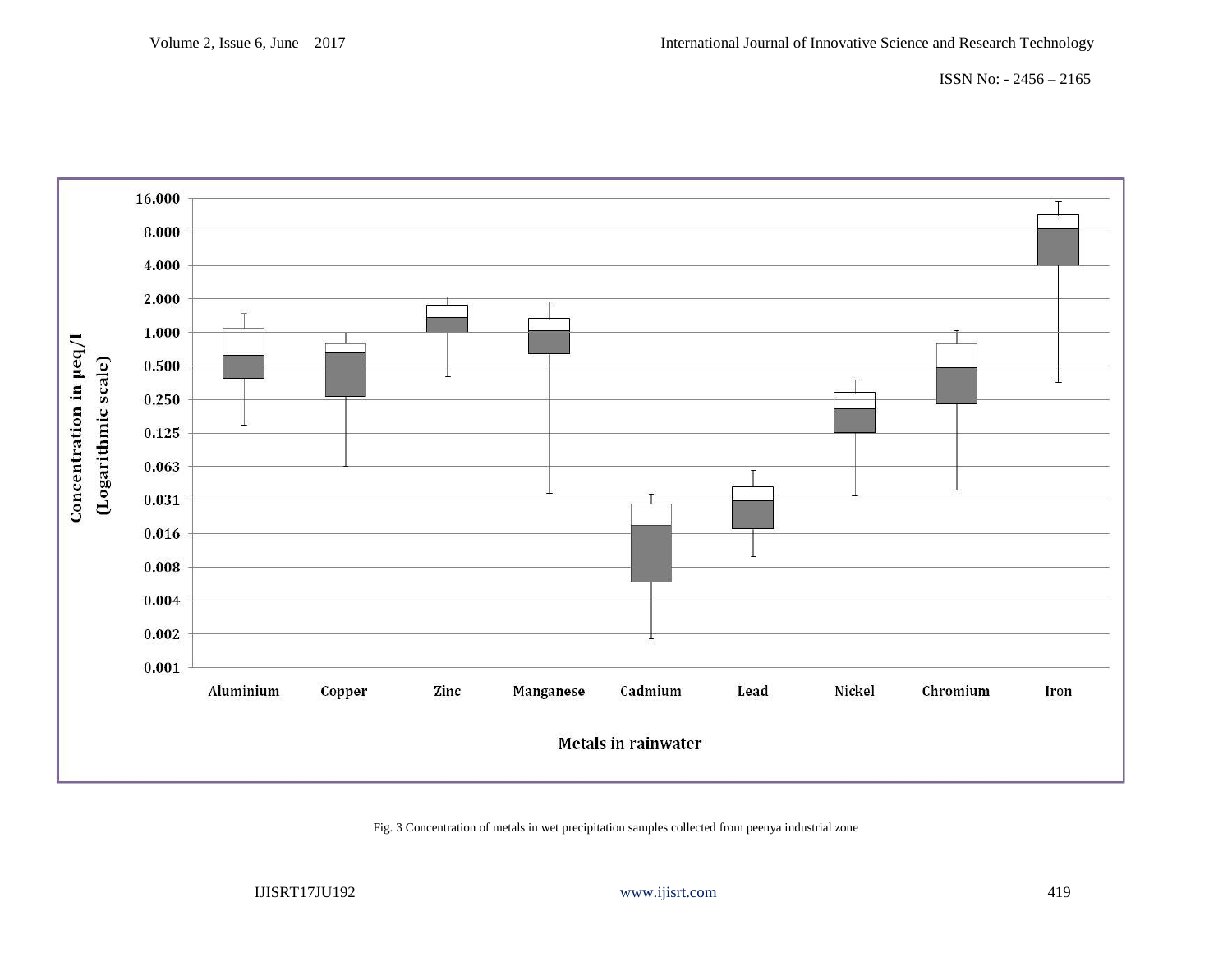ISSN No: - 2456 – 2165



Fig. 3 Concentration of metals in wet precipitation samples collected from peenya industrial zone